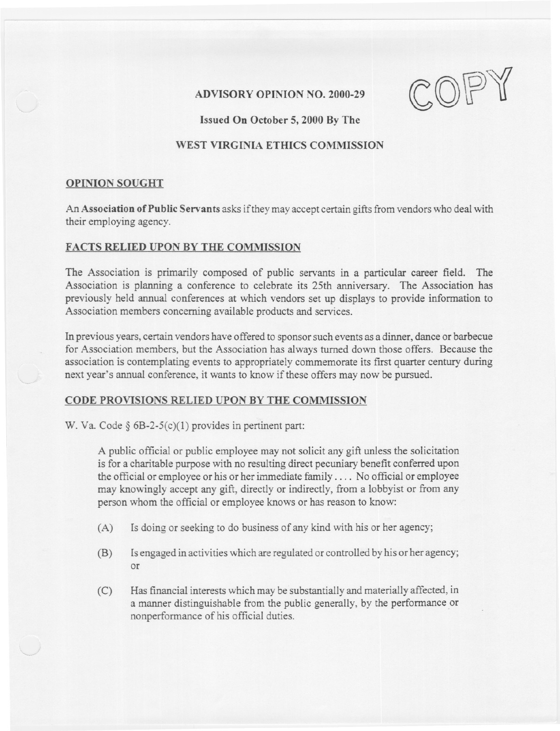

# WEST VIRGINIA ETHICS COMMISSION

## OPINION SOUGHT

An Association of Public Servants asks if they may accept certain gifts from vendors who deal with their employing agency.

## FACTS RELIED UPON BY THE COMMISSION

The Association is primarily composed of public servants in a particular career field. The Association is planning a conference to celebrate its 25th anniversary. The Association has previously held annual conferences at which vendors set up displays to provide information to Association members concerning available products and services.

In previous years, certain vendors have offered to sponsorsuch events as a dinner, dance or barbecue for Association members, but the Association has always turned down those offers. Because the association is contemplating events to appropriately commemorate its first quarter century during next year's annual conference, it wants to know if these offers may now be pursued.

## CODE PROVISIONS RELIED UPON BY THE COMMISSION

W. Va. Code § 6B-2-5(c)(1) provides in pertinent part:

A public official or public employee may not solicit any gift unless the solicitation is for a charitable purpose with no resulting direct pecuniary benefit conferred upon the official or employee or his or her immediate family  $\dots$ . No official or employee may knowingly accept any gift, directly or indirectly, from a lobbyist or from any person whom the official or employee knows or has reason to know:

- (A) Is doing or seeking to do business of any kind with his or her agency;
- (B) Is engaged in activities which are regulated or controlled by his or her agency; or
- (C) Has financial interests which maybe substantially and materially affected, in a manner distinguishable from the public generally, by the performance or nonperformance of his official duties.